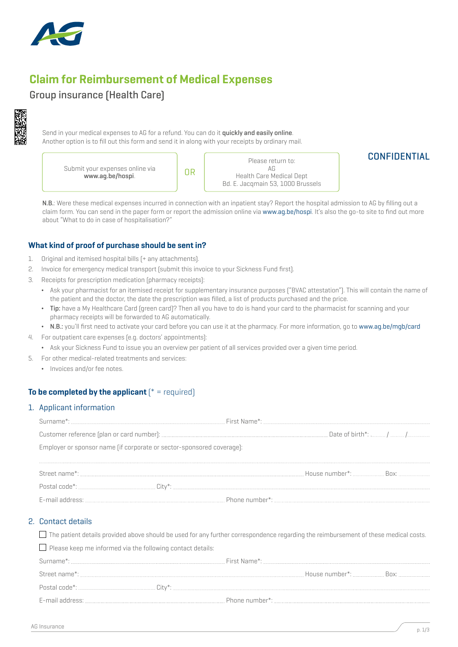

# Claim for Reimbursement of Medical Expenses

# Group insurance (Health Care)



Send in your medical expenses to AG for a refund. You can do it quickly and easily online. Another option is to fill out this form and send it in along with your receipts by ordinary mail.

Submit your expenses online via t your expenses online via **comparison of the UR**<br>www.ag.be/hospi.

Please return to: AG Health Care Medical Dept Bd. E. Jacqmain 53, 1000 Brussels

# **CONFIDENTIAL**

N.B.: Were these medical expenses incurred in connection with an inpatient stay? Report the hospital admission to AG by filling out a claim form. You can send in the paper form or report the admission online via www.ag.be/hospi. It's also the go-to site to find out more about "What to do in case of hospitalisation?"

## What kind of proof of purchase should be sent in?

- 1. Original and itemised hospital bills (+ any attachments).
- 2. Invoice for emergency medical transport (submit this invoice to your Sickness Fund first).
- 3. Receipts for prescription medication (pharmacy receipts):
	- ¬ Ask your pharmacist for an itemised receipt for supplementary insurance purposes ("BVAC attestation"). This will contain the name of the patient and the doctor, the date the prescription was filled, a list of products purchased and the price.
	- ¬ Tip: have a My Healthcare Card (green card)? Then all you have to do is hand your card to the pharmacist for scanning and your pharmacy receipts will be forwarded to AG automatically.
	- ¬ N.B.: you'll first need to activate your card before you can use it at the pharmacy. For more information, go to www.ag.be/mgb/card
- 4. For outpatient care expenses (e.g. doctors' appointments):
	- ¬ Ask your Sickness Fund to issue you an overview per patient of all services provided over a given time period.
- 5. For other medical-related treatments and services:
	- Invoices and/or fee notes.

## To be completed by the applicant  $f^*$  = required)

#### 1. Applicant information

| Employer or sponsor name (if corporate or sector-sponsored coverage): |  |  |
|-----------------------------------------------------------------------|--|--|
|                                                                       |  |  |
|                                                                       |  |  |
|                                                                       |  |  |
|                                                                       |  |  |

#### 2. Contact details

 $\Box$  The patient details provided above should be used for any further correspondence regarding the reimbursement of these medical costs.

| $\Box$ Please keep me informed via the following contact details: |  |
|-------------------------------------------------------------------|--|
|                                                                   |  |
|                                                                   |  |
|                                                                   |  |
|                                                                   |  |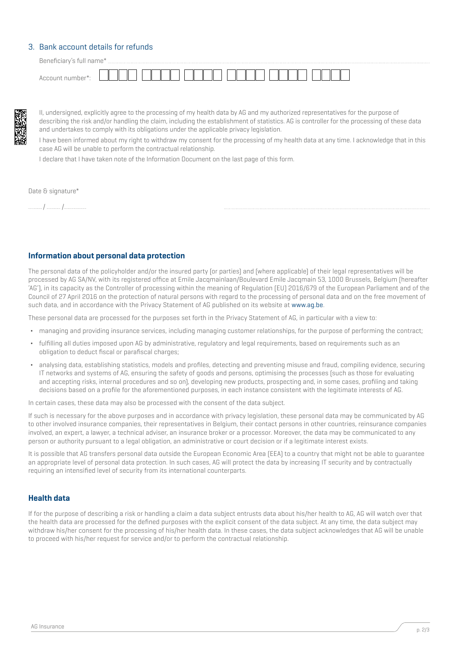#### 3. Bank account details for refunds

Beneficiary's full name\* Account number\*:

II, undersigned, explicitly agree to the processing of my health data by AG and my authorized representatives for the purpose of describing the risk and/or handling the claim, including the establishment of statistics. AG is controller for the processing of these data and undertakes to comply with its obligations under the applicable privacy legislation.

I have been informed about my right to withdraw my consent for the processing of my health data at any time. I acknowledge that in this case AG will be unable to perform the contractual relationship.

I declare that I have taken note of the Information Document on the last page of this form.

Date & signature\*

/ /

#### Information about personal data protection

The personal data of the policyholder and/or the insured party (or parties) and (where applicable) of their legal representatives will be processed by AG SA/NV, with its registered office at Emile Jacqmainlaan/Boulevard Emile Jacqmain 53, 1000 Brussels, Belgium (hereafter 'AG'), in its capacity as the Controller of processing within the meaning of Regulation (EU) 2016/679 of the European Parliament and of the Council of 27 April 2016 on the protection of natural persons with regard to the processing of personal data and on the free movement of such data, and in accordance with the Privacy Statement of AG published on its website at www.ag.be.

These personal data are processed for the purposes set forth in the Privacy Statement of AG, in particular with a view to:

- ¬ managing and providing insurance services, including managing customer relationships, for the purpose of performing the contract;
- fulfilling all duties imposed upon AG by administrative, regulatory and legal requirements, based on requirements such as an obligation to deduct fiscal or parafiscal charges;
- ¬ analysing data, establishing statistics, models and profiles, detecting and preventing misuse and fraud, compiling evidence, securing IT networks and systems of AG, ensuring the safety of goods and persons, optimising the processes (such as those for evaluating and accepting risks, internal procedures and so on), developing new products, prospecting and, in some cases, profiling and taking decisions based on a profile for the aforementioned purposes, in each instance consistent with the legitimate interests of AG.

In certain cases, these data may also be processed with the consent of the data subject.

If such is necessary for the above purposes and in accordance with privacy legislation, these personal data may be communicated by AG to other involved insurance companies, their representatives in Belgium, their contact persons in other countries, reinsurance companies involved, an expert, a lawyer, a technical adviser, an insurance broker or a processor. Moreover, the data may be communicated to any person or authority pursuant to a legal obligation, an administrative or court decision or if a legitimate interest exists.

It is possible that AG transfers personal data outside the European Economic Area (EEA) to a country that might not be able to guarantee an appropriate level of personal data protection. In such cases, AG will protect the data by increasing IT security and by contractually requiring an intensified level of security from its international counterparts.

#### Health data

If for the purpose of describing a risk or handling a claim a data subject entrusts data about his/her health to AG, AG will watch over that the health data are processed for the defined purposes with the explicit consent of the data subject. At any time, the data subject may withdraw his/her consent for the processing of his/her health data. In these cases, the data subject acknowledges that AG will be unable to proceed with his/her request for service and/or to perform the contractual relationship.